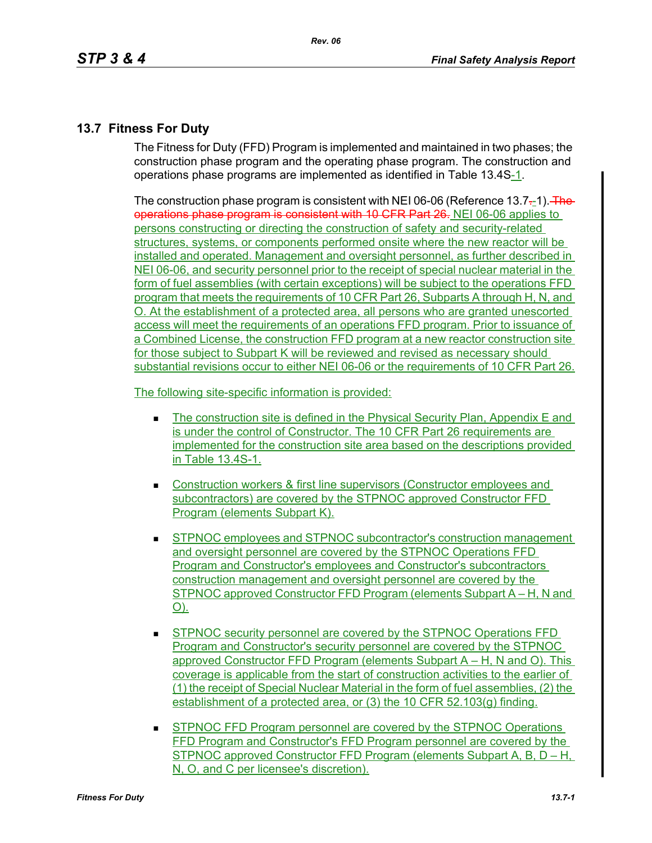## **13.7 Fitness For Duty**

The Fitness for Duty (FFD) Program is implemented and maintained in two phases; the construction phase program and the operating phase program. The construction and operations phase programs are implemented as identified in Table 13.4S-1.

The construction phase program is consistent with NEI 06-06 (Reference  $13.7-1$ ). The operations phase program is consistent with 10 CFR Part 26. NEI 06-06 applies to persons constructing or directing the construction of safety and security-related structures, systems, or components performed onsite where the new reactor will be installed and operated. Management and oversight personnel, as further described in NEI 06-06, and security personnel prior to the receipt of special nuclear material in the form of fuel assemblies (with certain exceptions) will be subject to the operations FFD program that meets the requirements of 10 CFR Part 26, Subparts A through H, N, and O. At the establishment of a protected area, all persons who are granted unescorted access will meet the requirements of an operations FFD program. Prior to issuance of a Combined License, the construction FFD program at a new reactor construction site for those subject to Subpart K will be reviewed and revised as necessary should substantial revisions occur to either NEI 06-06 or the requirements of 10 CFR Part 26.

The following site-specific information is provided:

- The construction site is defined in the Physical Security Plan, Appendix E and is under the control of Constructor. The 10 CFR Part 26 requirements are implemented for the construction site area based on the descriptions provided in Table 13.4S-1.
- **Construction workers & first line supervisors (Constructor employees and** subcontractors) are covered by the STPNOC approved Constructor FFD Program (elements Subpart K).
- **STPNOC employees and STPNOC subcontractor's construction management** and oversight personnel are covered by the STPNOC Operations FFD Program and Constructor's employees and Constructor's subcontractors construction management and oversight personnel are covered by the STPNOC approved Constructor FFD Program (elements Subpart A – H. N and O).
- **STPNOC security personnel are covered by the STPNOC Operations FFD** Program and Constructor's security personnel are covered by the STPNOC approved Constructor FFD Program (elements Subpart A – H, N and O). This coverage is applicable from the start of construction activities to the earlier of (1) the receipt of Special Nuclear Material in the form of fuel assemblies, (2) the establishment of a protected area, or (3) the 10 CFR 52.103(g) finding.
- **STPNOC FFD Program personnel are covered by the STPNOC Operations** FFD Program and Constructor's FFD Program personnel are covered by the STPNOC approved Constructor FFD Program (elements Subpart A, B, D – H, N, O, and C per licensee's discretion).